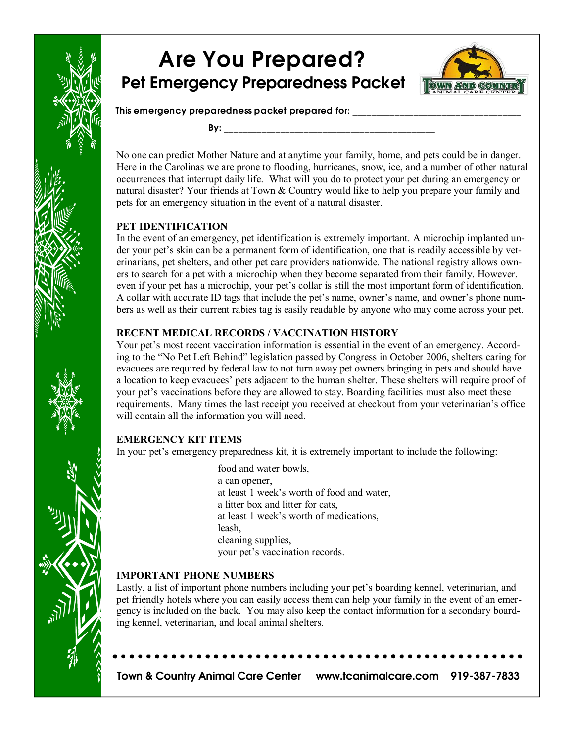

# Are You Prepared? Pet Emergency Preparedness Packet



This emergency preparedness packet prepared for:

By: \_\_\_\_\_\_\_\_\_\_\_\_\_\_\_\_\_\_\_\_\_\_\_\_\_\_\_\_\_\_\_\_\_\_\_\_\_\_\_\_\_\_\_\_\_

No one can predict Mother Nature and at anytime your family, home, and pets could be in danger. Here in the Carolinas we are prone to flooding, hurricanes, snow, ice, and a number of other natural occurrences that interrupt daily life. What will you do to protect your pet during an emergency or natural disaster? Your friends at Town & Country would like to help you prepare your family and pets for an emergency situation in the event of a natural disaster.

#### **PET IDENTIFICATION**

In the event of an emergency, pet identification is extremely important. A microchip implanted un der your pet's skin can be a permanent form of identification, one that is readily accessible by vet erinarians, pet shelters, and other pet care providers nationwide. The national registry allows own ers to search for a pet with a microchip when they become separated from their family. However, even if your pet has a microchip, your pet's collar is still the most important form of identification. A collar with accurate ID tags that include the pet's name, owner's name, and owner's phone num bers as well as their current rabies tag is easily readable by anyone who may come across your pet.

#### **RECENT MEDICAL RECORDS / VACCINATION HISTORY**

Your pet's most recent vaccination information is essential in the event of an emergency. According to the "No Pet Left Behind" legislation passed by Congress in October 2006, shelters caring for evacuees are required by federal law to not turn away pet owners bringing in pets and should have a location to keep evacuees' pets adjacent to the human shelter. These shelters will require proof of your pet's vaccinations before they are allowed to stay. Boarding facilities must also meet these requirements. Many times the last receipt you received at checkout from your veterinarian's office will contain all the information you will need.

#### **EMERGENCY KIT ITEMS**

In your pet's emergency preparedness kit, it is extremely important to include the following:

food and water bowls, a can opener, at least 1 week's worth of food and water, a litter box and litter for cats, at least 1 week's worth of medications, leash, cleaning supplies, your pet's vaccination records.

#### **IMPORTANT PHONE NUMBERS**

Lastly, a list of important phone numbers including your pet's boarding kennel, veterinarian, and pet friendly hotels where you can easily access them can help your family in the event of an emer gency is included on the back. You may also keep the contact information for a secondary boarding kennel, veterinarian, and local animal shelters.

Town & Country Animal Care Center www.tcanimalcare.com 919-387-7833